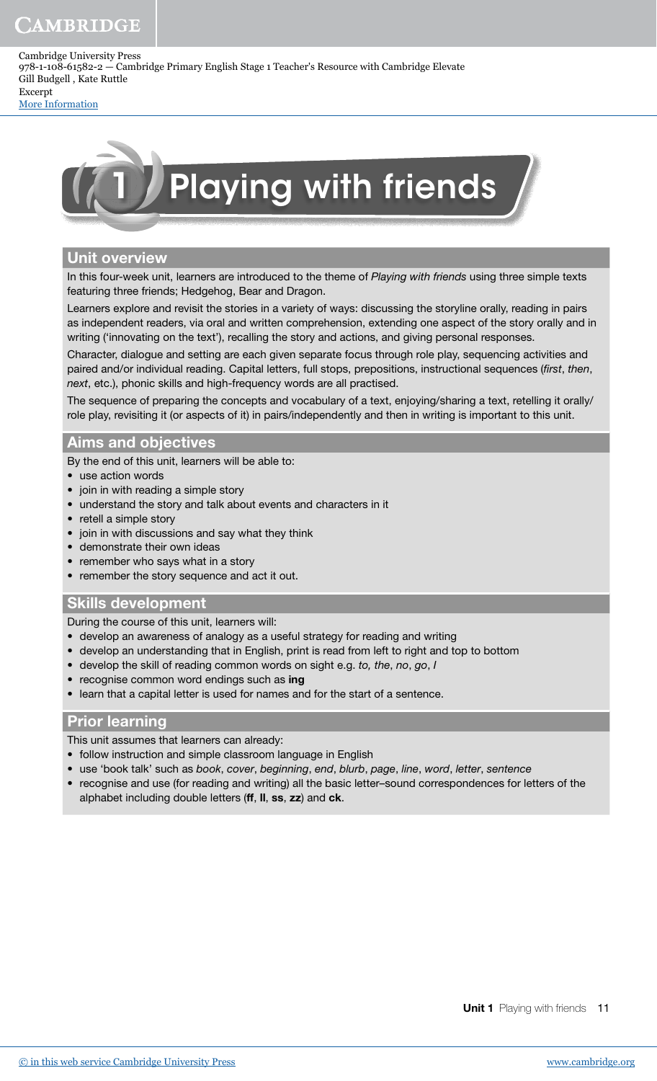# **CAMBRIDGE**

Cambridge University Press 978-1-108-61582-2 — Cambridge Primary English Stage 1 Teacher's Resource with Cambridge Elevate Gill Budgell , Kate Ruttle Excerpt

[More Information](www.cambridge.org/9781108615822)



### Unit overview

In this four-week unit, learners are introduced to the theme of Playing with friends using three simple texts featuring three friends; Hedgehog, Bear and Dragon.

Learners explore and revisit the stories in a variety of ways: discussing the storyline orally, reading in pairs as independent readers, via oral and written comprehension, extending one aspect of the story orally and in writing ('innovating on the text'), recalling the story and actions, and giving personal responses.

Character, dialogue and setting are each given separate focus through role play, sequencing activities and paired and/or individual reading. Capital letters, full stops, prepositions, instructional sequences (first, then, next, etc.), phonic skills and high-frequency words are all practised.

The sequence of preparing the concepts and vocabulary of a text, enjoying/sharing a text, retelling it orally/ role play, revisiting it (or aspects of it) in pairs/independently and then in writing is important to this unit.

## Aims and objectives

By the end of this unit, learners will be able to:

- use action words
- join in with reading a simple story
- understand the story and talk about events and characters in it
- retell a simple story
- join in with discussions and say what they think
- demonstrate their own ideas
- remember who says what in a story
- remember the story sequence and act it out.

### Skills development

During the course of this unit, learners will:

- develop an awareness of analogy as a useful strategy for reading and writing
- develop an understanding that in English, print is read from left to right and top to bottom
- develop the skill of reading common words on sight e.g. to, the, no, go, I
- recognise common word endings such as ing
- learn that a capital letter is used for names and for the start of a sentence.

### Prior learning

This unit assumes that learners can already:

- follow instruction and simple classroom language in English
- use 'book talk' such as book, cover, beginning, end, blurb, page, line, word, letter, sentence
- recognise and use (for reading and writing) all the basic letter–sound correspondences for letters of the alphabet including double letters (ff, II, ss, zz) and ck.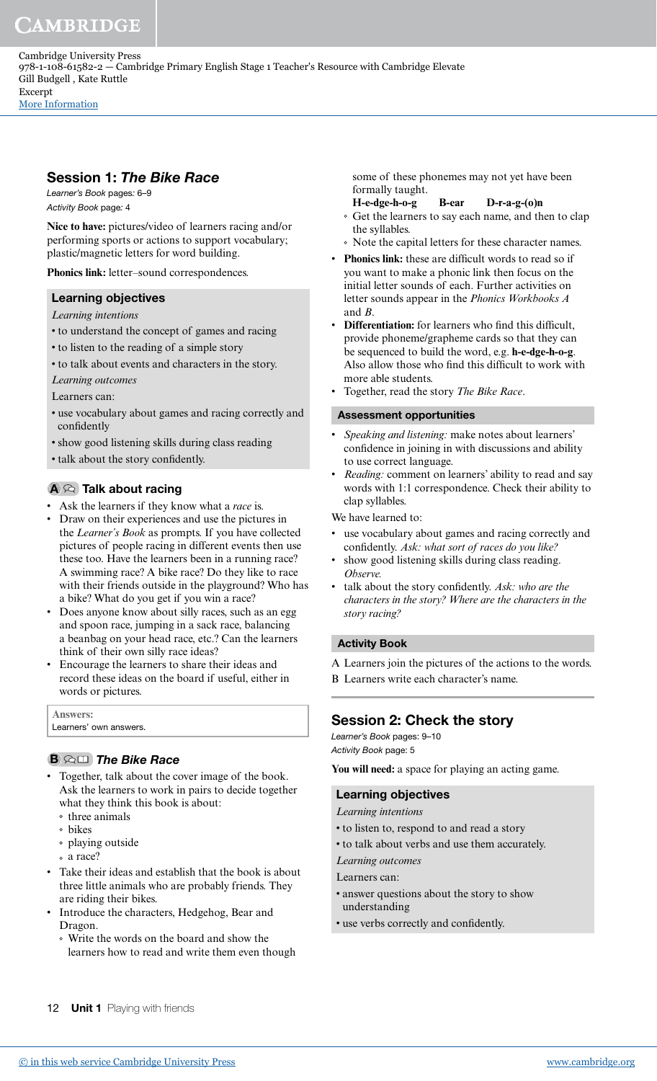Session 1: The Bike Race

Learner's Book pages: 6–9 Activity Book page: 4

**Nice to have:** pictures/video of learners racing and/or performing sports or actions to support vocabulary; plastic/magnetic letters for word building.

**Phonics link:** letter–sound correspondences.

### Learning objectives

*Learning intentions*

- to understand the concept of games and racing
- to listen to the reading of a simple story
- to talk about events and characters in the story.
- *Learning outcomes*

Learners can:

- use vocabulary about games and racing correctly and confidently
- show good listening skills during class reading
- talk about the story confidently.

## $A \otimes$  Talk about racing

- Ask the learners if they know what a *race* is.
- Draw on their experiences and use the pictures in the *Learner's Book* as prompts. If you have collected pictures of people racing in different events then use these too. Have the learners been in a running race? A swimming race? A bike race? Do they like to race with their friends outside in the playground? Who has a bike? What do you get if you win a race?
- Does anyone know about silly races, such as an egg and spoon race, jumping in a sack race, balancing a beanbag on your head race, etc.? Can the learners think of their own silly race ideas?
- Encourage the learners to share their ideas and record these ideas on the board if useful, either in words or pictures.

| <b>Answers:</b>        |
|------------------------|
| Learners' own answers. |
|                        |

#### **B QUI The Bike Race**

- Together, talk about the cover image of the book. Ask the learners to work in pairs to decide together what they think this book is about:
	- three animals
	- bikes
	- playing outside
- a race?
- Take their ideas and establish that the book is about three little animals who are probably friends. They are riding their bikes.
- Introduce the characters, Hedgehog, Bear and Dragon.
	- Write the words on the board and show the learners how to read and write them even though

some of these phonemes may not yet have been formally taught.

- **H-e-dge-h-o-g B-ear D-r-a-g-(o)n** Get the learners to say each name, and then to clap the syllables.
- Note the capital letters for these character names.
- Phonics link: these are difficult words to read so if you want to make a phonic link then focus on the initial letter sounds of each. Further activities on letter sounds appear in the *Phonics Workbooks A* and *B*.
- Differentiation: for learners who find this difficult, provide phoneme/grapheme cards so that they can be sequenced to build the word, e.g. **h-e-dge-h-o-g**. Also allow those who find this difficult to work with more able students.
- Together, read the story *The Bike Race*.

#### Assessment opportunities

- *Speaking and listening:* make notes about learners' confidence in joining in with discussions and ability to use correct language.
- *Reading:* comment on learners' ability to read and say words with 1:1 correspondence. Check their ability to clap syllables.

We have learned to:

- use vocabulary about games and racing correctly and confidently. Ask: what sort of races do you like?
- show good listening skills during class reading. *Observe.*
- talk about the story conidently. *Ask: who are the characters in the story? Where are the characters in the story racing?*

#### Activity Book

A Learners join the pictures of the actions to the words. B Learners write each character's name.

### Session 2: Check the story

Learner's Book pages: 9–10 Activity Book page: 5

**You will need:** a space for playing an acting game.

#### Learning objectives

- *Learning intentions*
- to listen to, respond to and read a story
- to talk about verbs and use them accurately.
- *Learning outcomes*
- Learners can:
- answer questions about the story to show understanding
- use verbs correctly and conidently.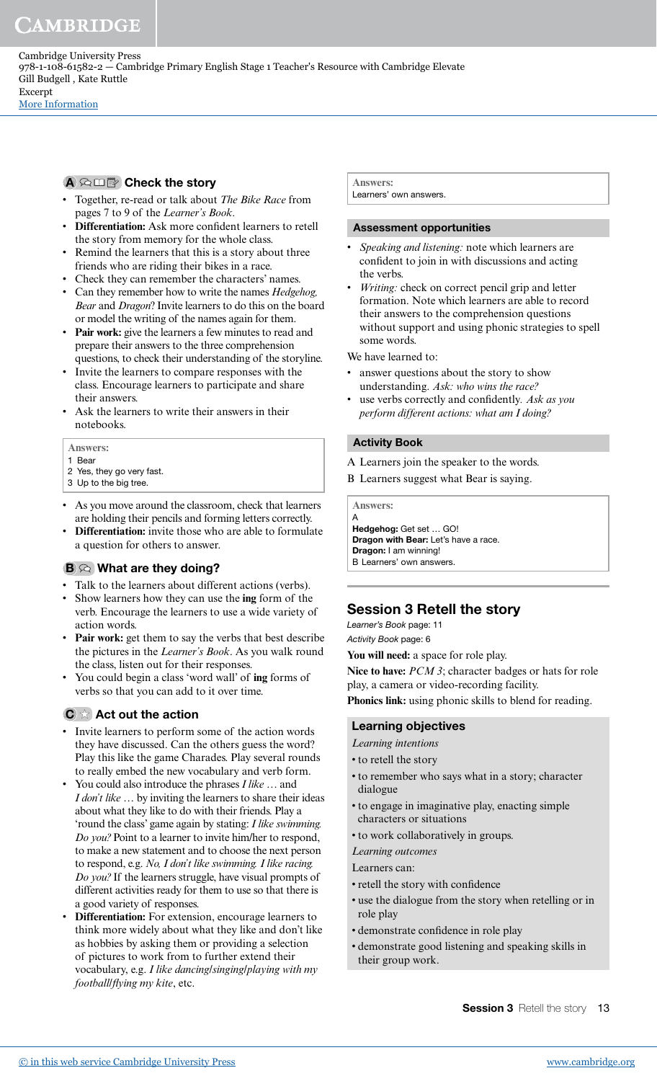#### A <sup>G</sup> IIII<sup>9</sup> Check the story

- Together, re-read or talk about *The Bike Race* from pages 7 to 9 of the *Learner's Book*.
- **Differentiation:** Ask more conident learners to retell the story from memory for the whole class.
- Remind the learners that this is a story about three friends who are riding their bikes in a race.
- Check they can remember the characters' names.
- Can they remember how to write the names *Hedgehog, Bear* and *Dragon*? Invite learners to do this on the board or model the writing of the names again for them.
- **Pair work:** give the learners a few minutes to read and prepare their answers to the three comprehension questions, to check their understanding of the storyline.
- Invite the learners to compare responses with the class. Encourage learners to participate and share their answers.
- Ask the learners to write their answers in their notebooks.

#### **Answers:**

- 1 Bear
- 2 Yes, they go very fast.
- 3 Up to the big tree.
- As you move around the classroom, check that learners are holding their pencils and forming letters correctly.
- **Differentiation:** invite those who are able to formulate a question for others to answer.

#### $B \otimes$  What are they doing?

- Talk to the learners about different actions (verbs).
- Show learners how they can use the **ing** form of the verb. Encourage the learners to use a wide variety of action words.
- **Pair work:** get them to say the verbs that best describe the pictures in the *Learner's Book*. As you walk round the class, listen out for their responses.
- You could begin a class 'word wall' of **ing** forms of verbs so that you can add to it over time.

### $\mathbf{C} \times \mathbf{Act}$  out the action

- Invite learners to perform some of the action words they have discussed. Can the others guess the word? Play this like the game Charades. Play several rounds to really embed the new vocabulary and verb form.
- You could also introduce the phrases *I like …* and *I don't like …* by inviting the learners to share their ideas about what they like to do with their friends. Play a 'round the class' game again by stating: *I like swimming. Do you?* Point to a learner to invite him/her to respond, to make a new statement and to choose the next person to respond, e.g. *No, I don't like swimming. I like racing. Do you?* If the learners struggle, have visual prompts of different activities ready for them to use so that there is a good variety of responses.
- **Differentiation:** For extension, encourage learners to think more widely about what they like and don't like as hobbies by asking them or providing a selection of pictures to work from to further extend their vocabulary, e.g. *I like dancing*/*singing*/*playing with my football*/*lying my kite*, etc.

**Answers:** Learners' own answers.

#### Assessment opportunities

- *Speaking and listening:* note which learners are confident to join in with discussions and acting the verbs.
- Writing: check on correct pencil grip and letter formation. Note which learners are able to record their answers to the comprehension questions without support and using phonic strategies to spell some words.

We have learned to:

- answer questions about the story to show understanding. *Ask: who wins the race?*
- use verbs correctly and conidently*. Ask as you perform different actions: what am I doing?*

#### Activity Book

- A Learners join the speaker to the words.
- B Learners suggest what Bear is saying.

**Answers:**

A Hedgehog: Get set … GO! Dragon with Bear: Let's have a race. Dragon: I am winning! B Learners' own answers.

## Session 3 Retell the story

Learner's Book page: 11 Activity Book page: 6

**You will need:** a space for role play.

**Nice to have:** *PCM 3*; character badges or hats for role play, a camera or video-recording facility.

**Phonics link:** using phonic skills to blend for reading.

#### Learning objectives

- *Learning intentions*
- to retell the story
- to remember who says what in a story; character dialogue
- to engage in imaginative play, enacting simple characters or situations
- to work collaboratively in groups.
- *Learning outcomes*
- Learners can:
- retell the story with confidence
- use the dialogue from the story when retelling or in role play
- demonstrate confidence in role play
- demonstrate good listening and speaking skills in their group work.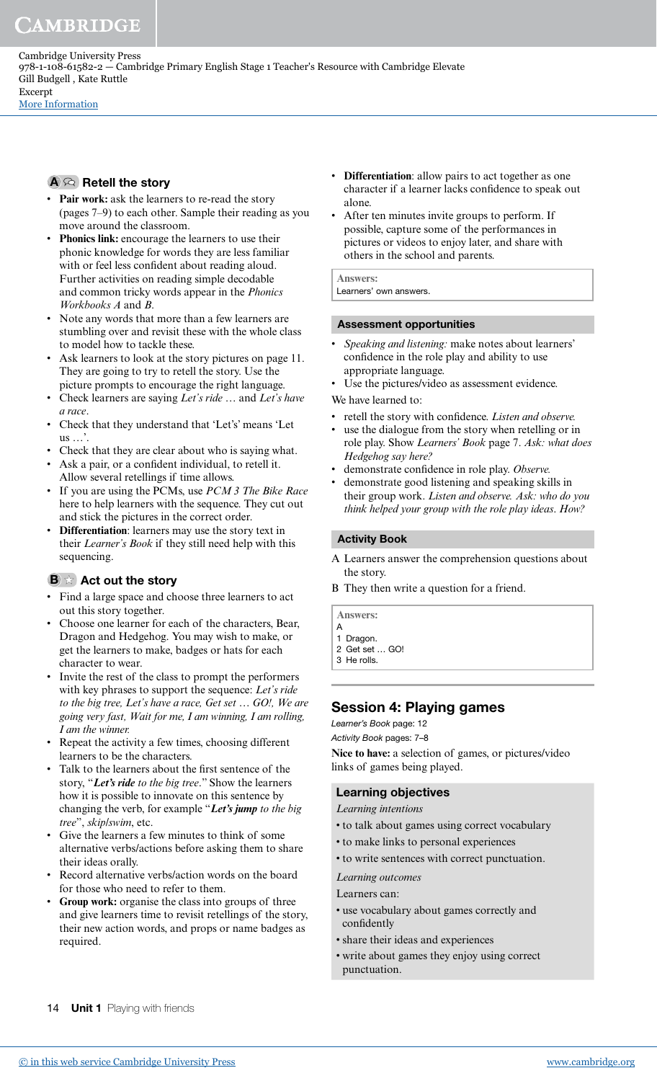### $A \otimes$  Retell the story

- **Pair work:** ask the learners to re-read the story (pages 7–9) to each other. Sample their reading as you move around the classroom.
- Phonics link: encourage the learners to use their phonic knowledge for words they are less familiar with or feel less confident about reading aloud. Further activities on reading simple decodable and common tricky words appear in the *Phonics Workbooks A* and *B*.
- Note any words that more than a few learners are stumbling over and revisit these with the whole class to model how to tackle these.
- Ask learners to look at the story pictures on page 11. They are going to try to retell the story. Use the picture prompts to encourage the right language.
- Check learners are saying *Let's ride …* and *Let's have a race*.
- Check that they understand that 'Let's' means 'Let us ...
- Check that they are clear about who is saying what.
- Ask a pair, or a confident individual, to retell it. Allow several retellings if time allows.
- If you are using the PCMs, use *PCM 3 The Bike Race* here to help learners with the sequence. They cut out and stick the pictures in the correct order.
- **Differentiation**: learners may use the story text in their *Learner's Book* if they still need help with this sequencing.

## $\mathbf{B} \times \mathbf{A}$  Act out the story

- Find a large space and choose three learners to act out this story together.
- Choose one learner for each of the characters, Bear, Dragon and Hedgehog. You may wish to make, or get the learners to make, badges or hats for each character to wear.
- Invite the rest of the class to prompt the performers with key phrases to support the sequence: *Let's ride to the big tree, Let's have a race, Get set … GO!, We are going very fast, Wait for me, I am winning, I am rolling, I am the winner.*
- Repeat the activity a few times, choosing different learners to be the characters.
- Talk to the learners about the irst sentence of the story, "**Let's ride** *to the big tree*." Show the learners how it is possible to innovate on this sentence by changing the verb, for example "**Let's jump** *to the big tree*", *skip/swim*, etc.
- Give the learners a few minutes to think of some alternative verbs/actions before asking them to share their ideas orally.
- Record alternative verbs/action words on the board for those who need to refer to them.
- Group work: organise the class into groups of three and give learners time to revisit retellings of the story, their new action words, and props or name badges as required.
- **Differentiation**: allow pairs to act together as one character if a learner lacks confidence to speak out alone.
- After ten minutes invite groups to perform. If possible, capture some of the performances in pictures or videos to enjoy later, and share with others in the school and parents.

**Answers:** Learners' own answers.

#### Assessment opportunities

- *Speaking and listening:* make notes about learners' confidence in the role play and ability to use appropriate language.
- Use the pictures/video as assessment evidence.
- We have learned to:
- retell the story with confidence. Listen and observe.
- use the dialogue from the story when retelling or in role play. Show *Learners' Book* page 7. *Ask: what does Hedgehog say here?*
- demonstrate confidence in role play. Observe.
- demonstrate good listening and speaking skills in their group work. *Listen and observe. Ask: who do you think helped your group with the role play ideas*. *How?*

#### Activity Book

- A Learners answer the comprehension questions about the story.
- B They then write a question for a friend.

**Answers:**

- A 1 Dragon.
- 2 Get set … GO!
- 3 He rolls.

## Session 4: Playing games

Learner's Book page: 12

Activity Book pages: 7–8

**Nice to have:** a selection of games, or pictures/video links of games being played.

### Learning objectives

- *Learning intentions*
- to talk about games using correct vocabulary
- to make links to personal experiences
- to write sentences with correct punctuation.

*Learning outcomes*

- Learners can:
- use vocabulary about games correctly and confidently
- share their ideas and experiences
- write about games they enjoy using correct punctuation.

14 **Unit 1** Playing with friends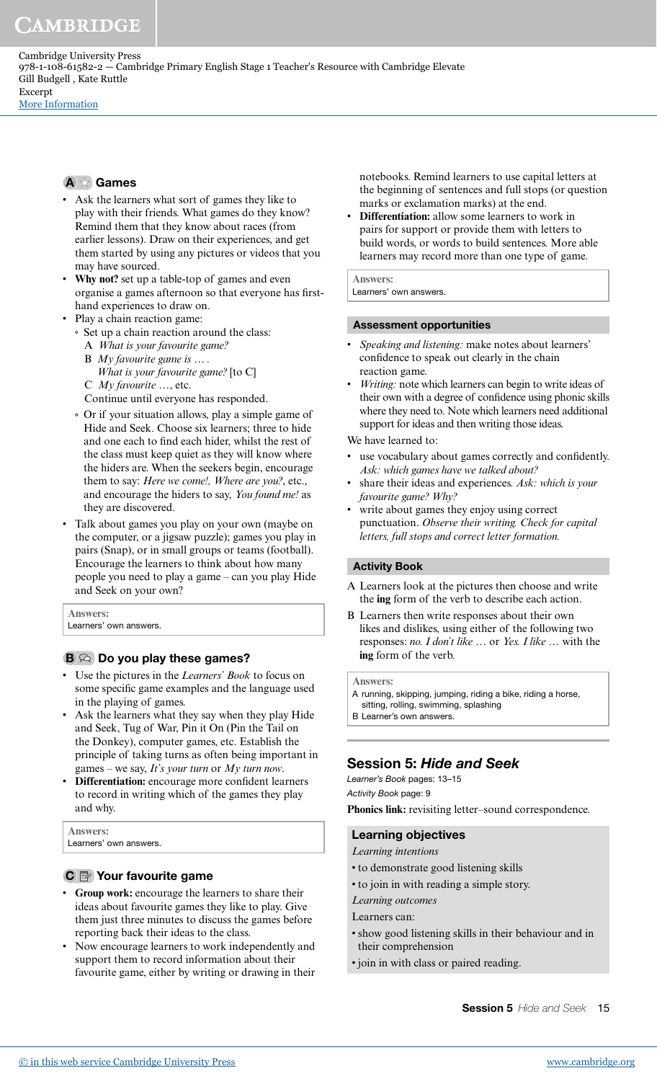Cambridge University Press 978-1-108-61582-2 — Cambridge Primary English Stage 1 Teacher's Resource with Cambridge Elevate Gill Budgell , Kate Ruttle Excerpt

[More Information](www.cambridge.org/9781108615822)

#### A  $\approx$  Games

- Ask the learners what sort of games they like to play with their friends. What games do they know? Remind them that they know about races (from earlier lessons). Draw on their experiences, and get them started by using any pictures or videos that you may have sourced.
- **Why not?** set up a table-top of games and even organise a games afternoon so that everyone has firsthand experiences to draw on.
- Play a chain reaction game:
	- $\circ$  Set up a chain reaction around the class:
	- A *What is your favourite game?*
	- B *My favourite game is … . What is your favourite game?* [to C]
	- C *My favourite* …, etc.

Continue until everyone has responded.

- Or if your situation allows, play a simple game of Hide and Seek. Choose six learners; three to hide and one each to find each hider, whilst the rest of the class must keep quiet as they will know where the hiders are. When the seekers begin, encourage them to say: *Here we come!, Where are you?*, etc., and encourage the hiders to say, *You found me!* as they are discovered.
- Talk about games you play on your own (maybe on the computer, or a jigsaw puzzle); games you play in pairs (Snap), or in small groups or teams (football). Encourage the learners to think about how many people you need to play a game – can you play Hide and Seek on your own?

**Answers:** Learners' own answers.

#### $\mathbf{B} \otimes \mathbf{D}$  Do you play these games?

- Use the pictures in the *Learners' Book* to focus on some specific game examples and the language used in the playing of games.
- Ask the learners what they say when they play Hide and Seek, Tug of War, Pin it On (Pin the Tail on the Donkey), computer games, etc. Establish the principle of taking turns as often being important in games – we say, *It's your turn* or *My turn now*.
- **Differentiation:** encourage more conident learners to record in writing which of the games they play and why.

#### **Answers:**

Learners' own answers.

#### C <sup>2</sup> Your favourite game

- **Group work:** encourage the learners to share their ideas about favourite games they like to play. Give them just three minutes to discuss the games before reporting back their ideas to the class.
- Now encourage learners to work independently and support them to record information about their favourite game, either by writing or drawing in their

notebooks. Remind learners to use capital letters at the beginning of sentences and full stops (or question marks or exclamation marks) at the end.

• **Differentiation:** allow some learners to work in pairs for support or provide them with letters to build words, or words to build sentences. More able learners may record more than one type of game.

**Answers:** Learners' own answers.

#### Assessment opportunities

- *Speaking and listening:* make notes about learners' confidence to speak out clearly in the chain reaction game.
- *Writing:* note which learners can begin to write ideas of their own with a degree of confidence using phonic skills where they need to. Note which learners need additional support for ideas and then writing those ideas.

We have learned to:

- use vocabulary about games correctly and confidently. *Ask: which games have we talked about?*
- share their ideas and experiences. *Ask: which is your favourite game? Why?*
- write about games they enjoy using correct punctuation. *Observe their writing. Check for capital letters, full stops and correct letter formation.*

#### Activity Book

- A Learners look at the pictures then choose and write the **ing** form of the verb to describe each action.
- B Learners then write responses about their own likes and dislikes, using either of the following two responses: *no. I don't like* … or *Yes. I like* … with the **ing** form of the verb.

#### **Answers:**

- A running, skipping, jumping, riding a bike, riding a horse,
- sitting, rolling, swimming, splashing
- B Learner's own answers.

## Session 5: Hide and Seek

Learner's Book pages: 13–15 Activity Book page: 9

**Phonics link:** revisiting letter–sound correspondence.

#### Learning objectives

- *Learning intentions*
- to demonstrate good listening skills
- to join in with reading a simple story.
- *Learning outcomes*
- Learners can:
- show good listening skills in their behaviour and in their comprehension
- join in with class or paired reading.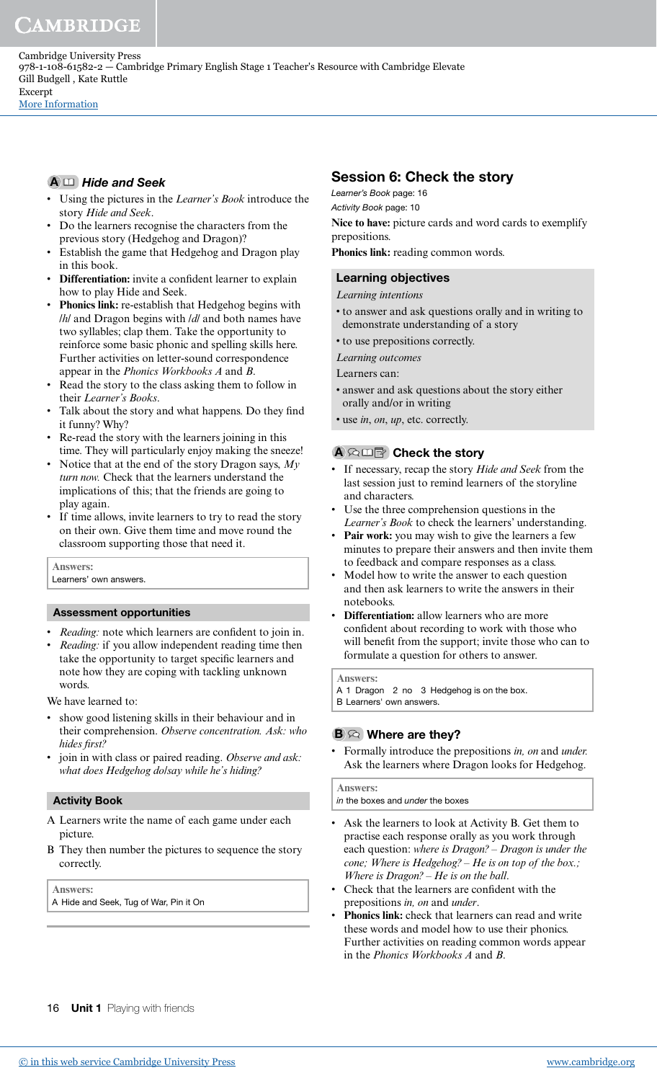$A \Box$  Hide and Seek

- Using the pictures in the *Learner's Book* introduce the story *Hide and Seek*.
- Do the learners recognise the characters from the previous story (Hedgehog and Dragon)?
- Establish the game that Hedgehog and Dragon play in this book.
- **Differentiation:** invite a confident learner to explain how to play Hide and Seek.
- **Phonics link:** re-establish that Hedgehog begins with /*h*/ and Dragon begins with /*d*/ and both names have two syllables; clap them. Take the opportunity to reinforce some basic phonic and spelling skills here. Further activities on letter-sound correspondence appear in the *Phonics Workbooks A* and *B*.
- Read the story to the class asking them to follow in their *Learner's Books*.
- Talk about the story and what happens. Do they find it funny? Why?
- Re-read the story with the learners joining in this time. They will particularly enjoy making the sneeze!
- Notice that at the end of the story Dragon says, *My turn now.* Check that the learners understand the implications of this; that the friends are going to play again.
- If time allows, invite learners to try to read the story on their own. Give them time and move round the classroom supporting those that need it.

**Answers:** Learners' own answers.

### Assessment opportunities

- *Reading:* note which learners are confident to join in.
- *Reading:* if you allow independent reading time then take the opportunity to target specific learners and note how they are coping with tackling unknown words.

We have learned to:

- show good listening skills in their behaviour and in their comprehension. *Observe concentration. Ask: who*  hides first?
- join in with class or paired reading. *Observe and ask: what does Hedgehog do/say while he's hiding?*

### Activity Book

- A Learners write the name of each game under each picture.
- B They then number the pictures to sequence the story correctly.

**Answers:**

A Hide and Seek, Tug of War, Pin it On

## Session 6: Check the story

Learner's Book page: 16

Activity Book page: 10 Nice to have: picture cards and word cards to exemplify prepositions.

**Phonics link:** reading common words.

## Learning objectives

### *Learning intentions*

- to answer and ask questions orally and in writing to demonstrate understanding of a story
- to use prepositions correctly.
- *Learning outcomes*

Learners can:

- answer and ask questions about the story either orally and/or in writing
- use *in*, *on*, *up*, etc. correctly.

## A  $\Omega$  山雪 Check the story

- If necessary, recap the story *Hide and Seek* from the last session just to remind learners of the storyline and characters.
- Use the three comprehension questions in the *Learner's Book* to check the learners' understanding.
- Pair work: you may wish to give the learners a few minutes to prepare their answers and then invite them to feedback and compare responses as a class.
- Model how to write the answer to each question and then ask learners to write the answers in their notebooks.
- **Differentiation:** allow learners who are more confident about recording to work with those who will benefit from the support; invite those who can to formulate a question for others to answer.

**Answers:**

A 1 Dragon 2 no 3 Hedgehog is on the box. B Learners' own answers.

## $\mathbf{B} \otimes \mathbf{W}$  Where are they?

• Formally introduce the prepositions *in, on* and *under.*  Ask the learners where Dragon looks for Hedgehog.

#### **Answers:**

in the boxes and under the boxes

- Ask the learners to look at Activity B. Get them to practise each response orally as you work through each question: *where is Dragon? – Dragon is under the cone; Where is Hedgehog? – He is on top of the box.; Where is Dragon? – He is on the ball*.
- Check that the learners are confident with the prepositions *in, on* and *under*.
- Phonics link: check that learners can read and write these words and model how to use their phonics. Further activities on reading common words appear in the *Phonics Workbooks A* and *B*.

16 **Unit 1** Playing with friends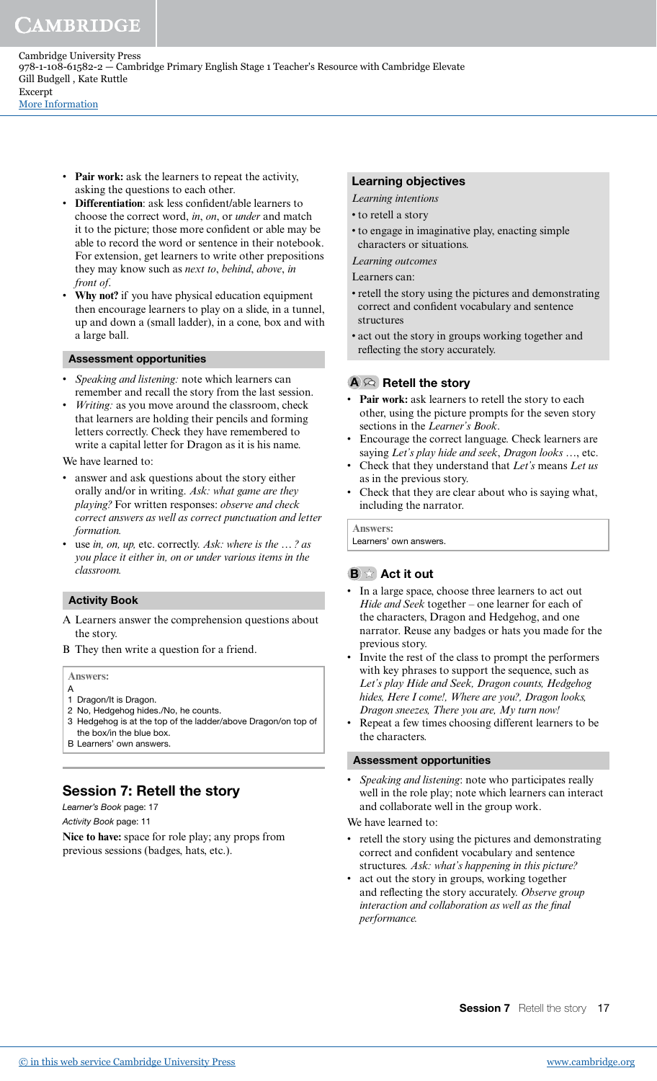- **Pair work:** ask the learners to repeat the activity, asking the questions to each other.
- **Differentiation**: ask less confident/able learners to choose the correct word, *in*, *on*, or *under* and match it to the picture; those more conident or able may be able to record the word or sentence in their notebook. For extension, get learners to write other prepositions they may know such as *next to*, *behind*, *above*, *in front of*.
- Why not? if you have physical education equipment then encourage learners to play on a slide, in a tunnel, up and down a (small ladder), in a cone, box and with a large ball.

#### Assessment opportunities

- *Speaking and listening:* note which learners can remember and recall the story from the last session.
- *Writing:* as you move around the classroom, check that learners are holding their pencils and forming letters correctly. Check they have remembered to write a capital letter for Dragon as it is his name.

#### We have learned to:

- answer and ask questions about the story either orally and/or in writing. *Ask: what game are they playing?* For written responses: *observe and check correct answers as well as correct punctuation and letter formation.*
- use *in, on, up,* etc. correctly. *Ask: where is the … ? as you place it either in, on or under various items in the classroom.*

#### Activity Book

- A Learners answer the comprehension questions about the story.
- B They then write a question for a friend.

#### **Answers:**

- A 1 Dragon/It is Dragon.
- 2 No, Hedgehog hides./No, he counts.
- 3 Hedgehog is at the top of the ladder/above Dragon/on top of the box/in the blue box.
- B Learners' own answers.

## Session 7: Retell the story

Learner's Book page: 17

Activity Book page: 11

**Nice to have:** space for role play; any props from previous sessions (badges, hats, etc.).

#### Learning objectives

- *Learning intentions*
- to retell a story
- to engage in imaginative play, enacting simple characters or situations.

#### *Learning outcomes*

Learners can:

- retell the story using the pictures and demonstrating correct and confident vocabulary and sentence structures
- act out the story in groups working together and reflecting the story accurately.

#### $A \otimes$  Retell the story

- **Pair work:** ask learners to retell the story to each other, using the picture prompts for the seven story sections in the *Learner's Book*.
- Encourage the correct language. Check learners are saying *Let's play hide and seek*, *Dragon looks …*, etc.
- Check that they understand that *Let's* means *Let us* as in the previous story.
- Check that they are clear about who is saying what, including the narrator.

**Answers:** Learners' own answers.

### $\mathbf{B} \times \mathbf{Act}$  it out

- In a large space, choose three learners to act out *Hide and Seek* together – one learner for each of the characters, Dragon and Hedgehog, and one narrator. Reuse any badges or hats you made for the previous story.
- Invite the rest of the class to prompt the performers with key phrases to support the sequence, such as *Let's play Hide and Seek, Dragon counts, Hedgehog hides, Here I come!, Where are you?, Dragon looks, Dragon sneezes, There you are, My turn now!*
- Repeat a few times choosing different learners to be the characters.

#### Assessment opportunities

• *Speaking and listening*: note who participates really well in the role play; note which learners can interact and collaborate well in the group work.

We have learned to:

- retell the story using the pictures and demonstrating correct and confident vocabulary and sentence structures. *Ask: what's happening in this picture?*
- act out the story in groups, working together and relecting the story accurately. *Observe group*  interaction and collaboration as well as the final *performance.*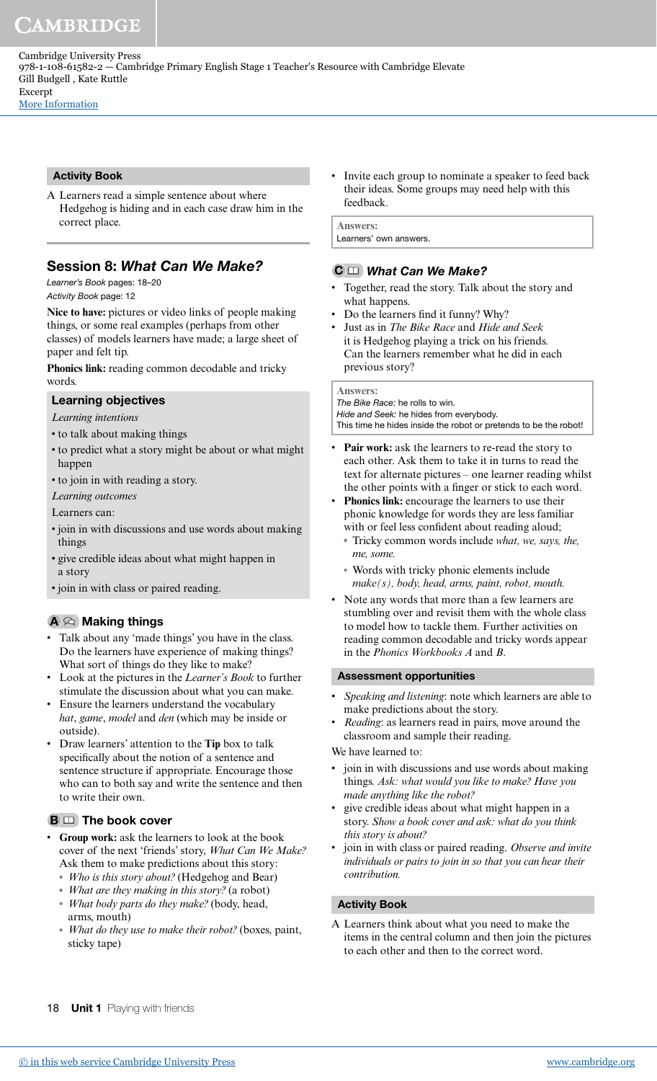Cambridge University Press 978-1-108-61582-2 — Cambridge Primary English Stage 1 Teacher's Resource with Cambridge Elevate Gill Budgell , Kate Ruttle Excerpt

[More Information](www.cambridge.org/9781108615822)

### Activity Book

A Learners read a simple sentence about where Hedgehog is hiding and in each case draw him in the correct place.

## Session 8: What Can We Make?

Learner's Book pages: 18–20

Activity Book page: 12

Nice to have: pictures or video links of people making things, or some real examples (perhaps from other classes) of models learners have made; a large sheet of paper and felt tip.

**Phonics link:** reading common decodable and tricky words

### Learning objectives

*Learning intentions*

- to talk about making things
- to predict what a story might be about or what might happen
- to join in with reading a story.
- *Learning outcomes*

Learners can:

- join in with discussions and use words about making things
- give credible ideas about what might happen in a story
- join in with class or paired reading.

### $A \otimes$  Making things

- Talk about any 'made things' you have in the class. Do the learners have experience of making things? What sort of things do they like to make?
- Look at the pictures in the *Learner's Book* to further stimulate the discussion about what you can make.
- Ensure the learners understand the vocabulary *hat*, *game*, *model* and *den* (which may be inside or outside).
- Draw learners' attention to the **Tip** box to talk specifically about the notion of a sentence and sentence structure if appropriate. Encourage those who can to both say and write the sentence and then to write their own.

### $B \Box$  The book cover

- **Group work:** ask the learners to look at the book cover of the next 'friends' story, *What Can We Make?*  Ask them to make predictions about this story:
	- *Who is this story about?* (Hedgehog and Bear)
	- *What are they making in this story?* (a robot)
	- *What body parts do they make?* (body, head, arms, mouth)
	- *What do they use to make their robot?* (boxes, paint, sticky tape)

Invite each group to nominate a speaker to feed back their ideas. Some groups may need help with this feedback.

**Answers:** Learners' own answers.

#### C C What Can We Make?

- Together, read the story. Talk about the story and what happens.
- Do the learners find it funny? Why?
- Just as in *The Bike Race* and *Hide and Seek* it is Hedgehog playing a trick on his friends. Can the learners remember what he did in each previous story?

#### **Answers:**

The Bike Race: he rolls to win.

Hide and Seek: he hides from everybody. This time he hides inside the robot or pretends to be the robot!

- Pair work: ask the learners to re-read the story to each other. Ask them to take it in turns to read the text for alternate pictures – one learner reading whilst the other points with a finger or stick to each word.
- Phonics link: encourage the learners to use their phonic knowledge for words they are less familiar with or feel less confident about reading aloud;
- Tricky common words include *what, we, says, the, me, some.*
- Words with tricky phonic elements include *make(s), body, head, arms, paint, robot, mouth.*
- Note any words that more than a few learners are stumbling over and revisit them with the whole class to model how to tackle them. Further activities on reading common decodable and tricky words appear in the *Phonics Workbooks A* and *B*.

#### Assessment opportunities

- *Speaking and listening*: note which learners are able to make predictions about the story.
- *Reading*: as learners read in pairs, move around the classroom and sample their reading.

We have learned to:

- join in with discussions and use words about making things. *Ask: what would you like to make? Have you made anything like the robot?*
- give credible ideas about what might happen in a story. *Show a book cover and ask: what do you think this story is about?*
- join in with class or paired reading. *Observe and invite individuals or pairs to join in so that you can hear their contribution.*

#### Activity Book

A Learners think about what you need to make the items in the central column and then join the pictures to each other and then to the correct word.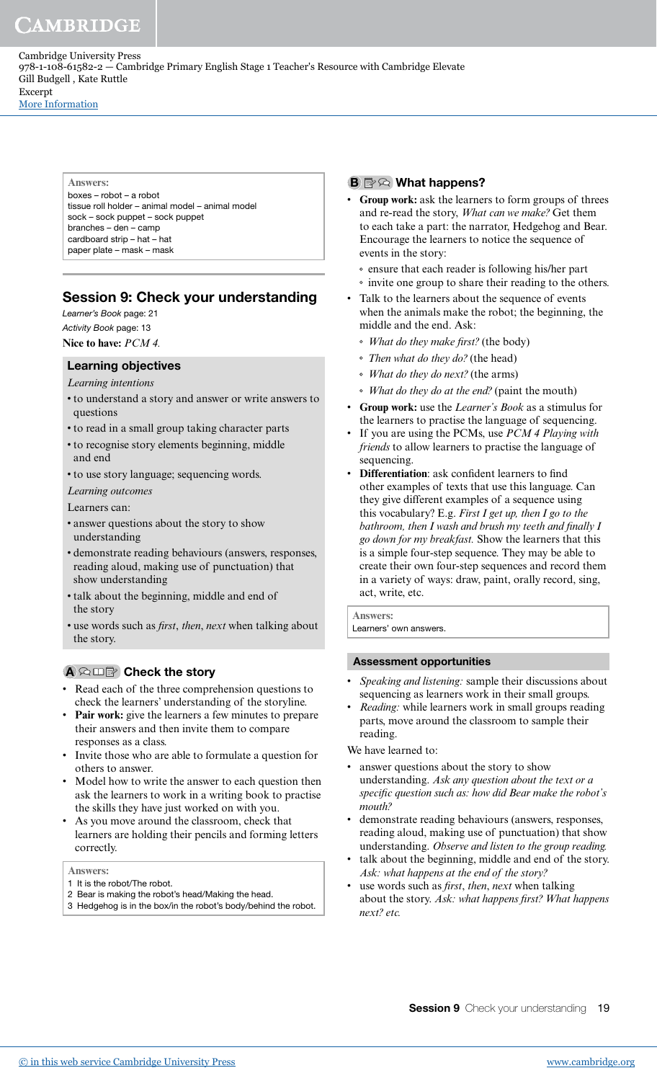Cambridge University Press 978-1-108-61582-2 — Cambridge Primary English Stage 1 Teacher's Resource with Cambridge Elevate Gill Budgell , Kate Ruttle Excerpt [More Information](www.cambridge.org/9781108615822)

> **Answers:** boxes – robot – a robot tissue roll holder – animal model – animal model sock – sock puppet – sock puppet branches – den – camp cardboard strip – hat – hat paper plate – mask – mask

## Session 9: Check your understanding

Learner's Book page: 21 Activity Book page: 13

**Nice to have:** *PCM 4.*

#### Learning objectives

*Learning intentions*

- to understand a story and answer or write answers to questions
- to read in a small group taking character parts
- to recognise story elements beginning, middle and end
- to use story language; sequencing words.
- *Learning outcomes*
- Learners can:
- answer questions about the story to show understanding
- demonstrate reading behaviours (answers, responses, reading aloud, making use of punctuation) that show understanding
- talk about the beginning, middle and end of the story
- use words such as *irst*, *then*, *next* when talking about the story.

### A © 田園 Check the story

- Read each of the three comprehension questions to check the learners' understanding of the storyline.
- Pair work: give the learners a few minutes to prepare their answers and then invite them to compare responses as a class.
- Invite those who are able to formulate a question for others to answer.
- Model how to write the answer to each question then ask the learners to work in a writing book to practise the skills they have just worked on with you.
- As you move around the classroom, check that learners are holding their pencils and forming letters correctly.

**Answers:**

- 1 It is the robot/The robot.
- 2 Bear is making the robot's head/Making the head.
- 3 Hedgehog is in the box/in the robot's body/behind the robot.

#### $\mathbf{B} \boxtimes \otimes \mathbf{W}$ hat happens?

- **Group work:** ask the learners to form groups of threes and re-read the story, *What can we make?* Get them to each take a part: the narrator, Hedgehog and Bear. Encourage the learners to notice the sequence of events in the story:
	- ensure that each reader is following his/her part
	- invite one group to share their reading to the others.
- Talk to the learners about the sequence of events when the animals make the robot; the beginning, the middle and the end. Ask:
	- *What do they make irst?* (the body)
	- *Then what do they do?* (the head)
	- *What do they do next?* (the arms)
	- *What do they do at the end?* (paint the mouth)
- **Group work:** use the *Learner's Book* as a stimulus for the learners to practise the language of sequencing.
- If you are using the PCMs, use *PCM 4 Playing with friends* to allow learners to practise the language of sequencing.
- **Differentiation**: ask conident learners to ind other examples of texts that use this language. Can they give different examples of a sequence using this vocabulary? E.g. *First I get up, then I go to the bathroom, then I wash and brush my teeth and inally I go down for my breakfast.* Show the learners that this is a simple four-step sequence. They may be able to create their own four-step sequences and record them in a variety of ways: draw, paint, orally record, sing, act, write, etc.

**Answers:** Learners' own answers.

#### Assessment opportunities

- *Speaking and listening:* sample their discussions about sequencing as learners work in their small groups.
- *Reading:* while learners work in small groups reading parts, move around the classroom to sample their reading.

We have learned to:

- answer questions about the story to show understanding. *Ask any question about the text or a speciic question such as: how did Bear make the robot's mouth?*
- demonstrate reading behaviours (answers, responses, reading aloud, making use of punctuation) that show understanding. *Observe and listen to the group reading.*
- talk about the beginning, middle and end of the story. *Ask: what happens at the end of the story?*
- use words such as *irst*, *then*, *next* when talking about the story. *Ask: what happens irst? What happens next? etc.*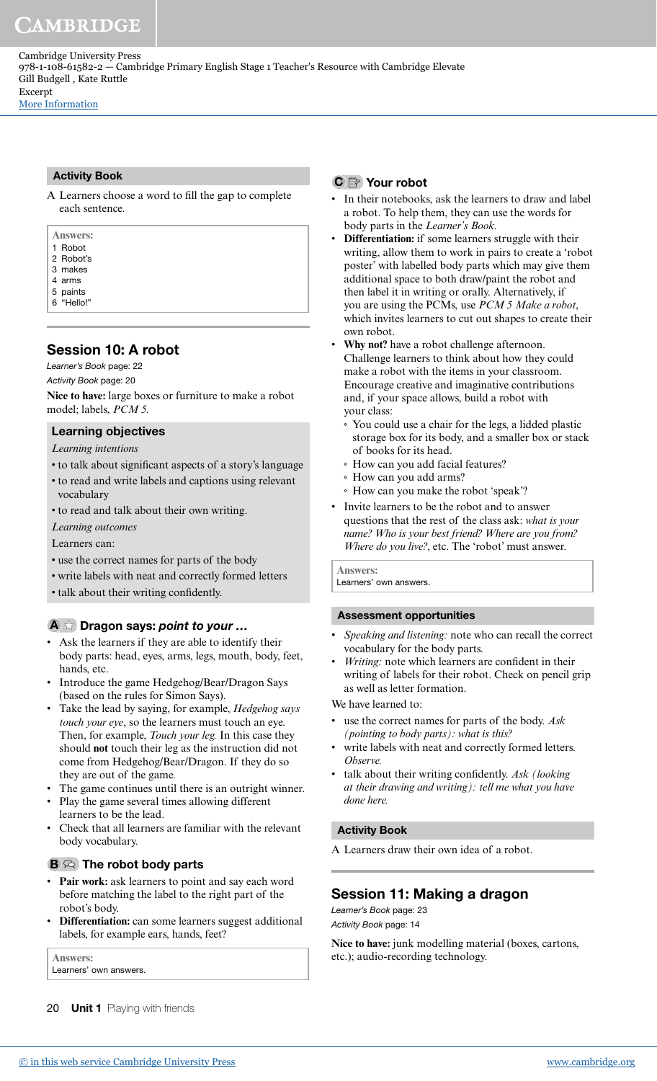#### Activity Book

A Learners choose a word to fill the gap to complete each sentence.

| <b>Answers:</b> |  |  |
|-----------------|--|--|
| 1 Robot         |  |  |
| 2 Robot's       |  |  |
| 3 makes         |  |  |
| 4 arms          |  |  |
| 5 paints        |  |  |
| 6 "Hello!"      |  |  |

## Session 10: A robot

Learner's Book page: 22

Activity Book page: 20

**Nice to have:** large boxes or furniture to make a robot model; labels, *PCM 5.*

## Learning objectives

*Learning intentions*

- to talk about significant aspects of a story's language
- to read and write labels and captions using relevant vocabulary
- to read and talk about their own writing.

*Learning outcomes*

Learners can:

- use the correct names for parts of the body
- write labels with neat and correctly formed letters
- talk about their writing confidently.

#### $\mathbf{A} \times \mathbf{D}$  Dragon says: point to your ...

- Ask the learners if they are able to identify their body parts: head, eyes, arms, legs, mouth, body, feet, hands, etc.
- Introduce the game Hedgehog/Bear/Dragon Says (based on the rules for Simon Says).
- Take the lead by saying, for example, *Hedgehog says touch your eye*, so the learners must touch an eye. Then, for example, *Touch your leg.* In this case they should **not** touch their leg as the instruction did not come from Hedgehog/Bear/Dragon. If they do so they are out of the game.
- The game continues until there is an outright winner.
- Play the game several times allowing different learners to be the lead.
- Check that all learners are familiar with the relevant body vocabulary.

## $\mathbf{B} \otimes \mathbf{I}$  The robot body parts

- **Pair work:** ask learners to point and say each word before matching the label to the right part of the robot's body.
- **Differentiation:** can some learners suggest additional labels, for example ears, hands, feet?

**Answers:** Learners' own answers.

20 **Unit 1** Playing with friends

## C <sup>2</sup> Your robot

- In their notebooks, ask the learners to draw and label a robot. To help them, they can use the words for body parts in the *Learner's Book.*
- **Differentiation:** if some learners struggle with their writing, allow them to work in pairs to create a 'robot poster' with labelled body parts which may give them additional space to both draw/paint the robot and then label it in writing or orally. Alternatively, if you are using the PCMs, use *PCM 5 Make a robot*, which invites learners to cut out shapes to create their own robot.
- **Why not?** have a robot challenge afternoon. Challenge learners to think about how they could make a robot with the items in your classroom. Encourage creative and imaginative contributions and, if your space allows, build a robot with your class:
	- You could use a chair for the legs, a lidded plastic storage box for its body, and a smaller box or stack of books for its head.
	- How can you add facial features?
	- How can you add arms?
- How can you make the robot 'speak'?
- Invite learners to be the robot and to answer questions that the rest of the class ask: *what is your name? Who is your best friend? Where are you from? Where do you live?*, etc. The 'robot' must answer.

**Answers:** Learners' own answers

#### Assessment opportunities

- *Speaking and listening:* note who can recall the correct vocabulary for the body parts.
- Writing: note which learners are confident in their writing of labels for their robot. Check on pencil grip as well as letter formation.

We have learned to:

- use the correct names for parts of the body. *Ask (pointing to body parts): what is this?*
- write labels with neat and correctly formed letters. *Observe.*
- talk about their writing confidently. Ask (looking *at their drawing and writing): tell me what you have done here.*

#### Activity Book

A Learners draw their own idea of a robot.

## Session 11: Making a dragon

Learner's Book page: 23 Activity Book page: 14

Nice to have: junk modelling material (boxes, cartons, etc.); audio-recording technology.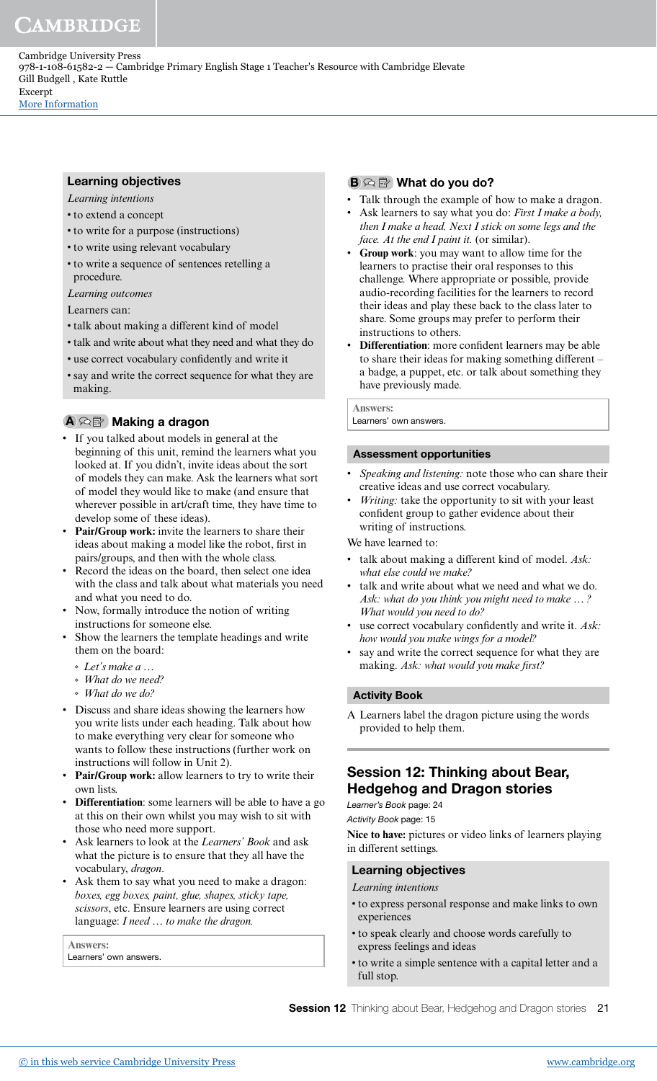Learning objectives

- *Learning intentions*
- to extend a concept
- to write for a purpose (instructions)
- to write using relevant vocabulary
- to write a sequence of sentences retelling a procedure.

*Learning outcomes*

Learners can:

- talk about making a different kind of model
- talk and write about what they need and what they do
- use correct vocabulary conidently and write it
- say and write the correct sequence for what they are making.

## A <sup>公</sup> Making a dragon

- If you talked about models in general at the beginning of this unit, remind the learners what you looked at. If you didn't, invite ideas about the sort of models they can make. Ask the learners what sort of model they would like to make (and ensure that wherever possible in art/craft time, they have time to develop some of these ideas).
- **Pair/Group work:** invite the learners to share their ideas about making a model like the robot, first in pairs/groups, and then with the whole class.
- Record the ideas on the board, then select one idea with the class and talk about what materials you need and what you need to do.
- Now, formally introduce the notion of writing instructions for someone else.
- Show the learners the template headings and write them on the board:
	- *Let's make a …*
	- *What do we need?*
	- *What do we do?*
- Discuss and share ideas showing the learners how you write lists under each heading. Talk about how to make everything very clear for someone who wants to follow these instructions (further work on instructions will follow in Unit 2).
- **Pair/Group work:** allow learners to try to write their own lists.
- **Differentiation**: some learners will be able to have a go at this on their own whilst you may wish to sit with those who need more support.
- Ask learners to look at the *Learners' Book* and ask what the picture is to ensure that they all have the vocabulary, *dragon*.
- Ask them to say what you need to make a dragon: *boxes, egg boxes, paint, glue, shapes, sticky tape, scissors*, etc. Ensure learners are using correct language: *I need … to make the dragon.*

**Answers:** Learners' own answers.

## $B \otimes B$  What do you do?

- Talk through the example of how to make a dragon.
- Ask learners to say what you do: *First I make a body, then I make a head. Next I stick on some legs and the face. At the end I paint it.* (or similar).
- **Group work**: you may want to allow time for the learners to practise their oral responses to this challenge. Where appropriate or possible, provide audio-recording facilities for the learners to record their ideas and play these back to the class later to share. Some groups may prefer to perform their instructions to others.
- **Differentiation**: more conident learners may be able to share their ideas for making something different – a badge, a puppet, etc. or talk about something they have previously made.

**Answers:**

Learners' own answers.

#### Assessment opportunities

- *Speaking and listening:* note those who can share their creative ideas and use correct vocabulary.
- Writing: take the opportunity to sit with your least confident group to gather evidence about their writing of instructions.

We have learned to:

- talk about making a different kind of model. *Ask: what else could we make?*
- talk and write about what we need and what we do. *Ask: what do you think you might need to make … ? What would you need to do?*
- use correct vocabulary confidently and write it. Ask: *how would you make wings for a model?*
- say and write the correct sequence for what they are making. Ask: what would you make first?

#### Activity Book

A Learners label the dragon picture using the words provided to help them.

## Session 12: Thinking about Bear, Hedgehog and Dragon stories

Learner's Book page: 24 Activity Book page: 15

**Nice to have:** pictures or video links of learners playing in different settings.

### Learning objectives

*Learning intentions*

- to express personal response and make links to own experiences
- to speak clearly and choose words carefully to express feelings and ideas
- to write a simple sentence with a capital letter and a full stop.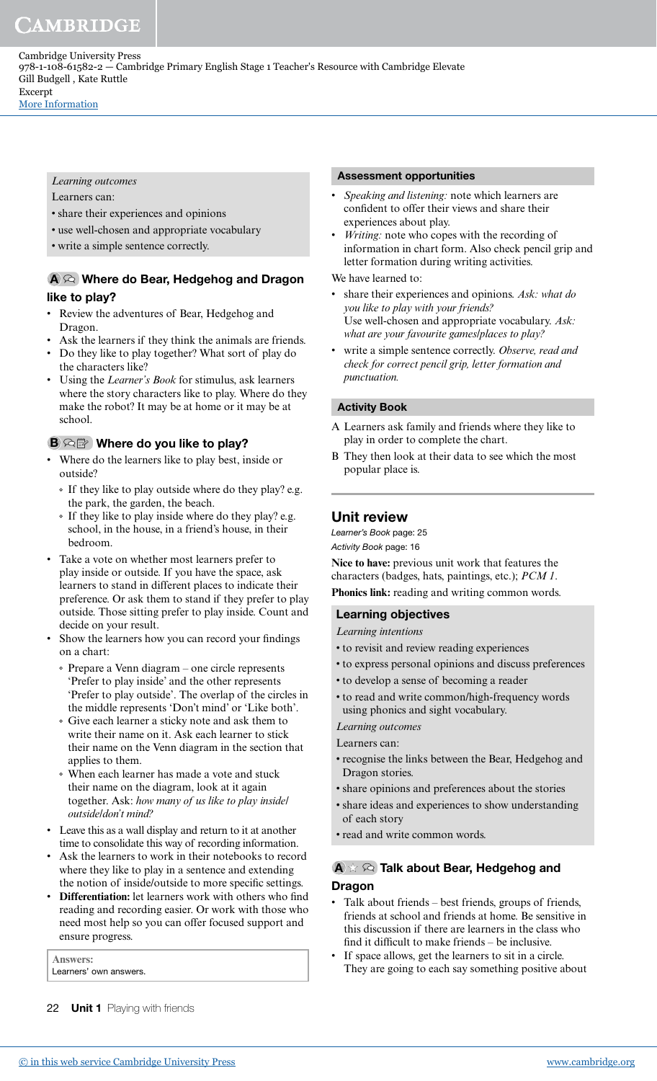*Learning outcomes*

Learners can:

- share their experiences and opinions
- use well-chosen and appropriate vocabulary
- write a simple sentence correctly.

## A <sup>2</sup> Where do Bear, Hedgehog and Dragon like to play?

- Review the adventures of Bear, Hedgehog and Dragon.
- Ask the learners if they think the animals are friends.
- Do they like to play together? What sort of play do the characters like?
- Using the *Learner's Book* for stimulus, ask learners where the story characters like to play. Where do they make the robot? It may be at home or it may be at school.

## $\mathbf{B} \otimes \mathbb{R}$  Where do you like to play?

- Where do the learners like to play best, inside or outside?
	- If they like to play outside where do they play? e.g. the park, the garden, the beach.
	- If they like to play inside where do they play? e.g. school, in the house, in a friend's house, in their bedroom.
- Take a vote on whether most learners prefer to play inside or outside. If you have the space, ask learners to stand in different places to indicate their preference. Or ask them to stand if they prefer to play outside. Those sitting prefer to play inside. Count and decide on your result.
- Show the learners how you can record your findings on a chart:
	- Prepare a Venn diagram one circle represents 'Prefer to play inside' and the other represents 'Prefer to play outside'. The overlap of the circles in the middle represents 'Don't mind' or 'Like both'.
	- Give each learner a sticky note and ask them to write their name on it. Ask each learner to stick their name on the Venn diagram in the section that applies to them.
	- When each learner has made a vote and stuck their name on the diagram, look at it again together. Ask: *how many of us like to play inside/ outside/don't mind?*
- Leave this as a wall display and return to it at another time to consolidate this way of recording information.
- Ask the learners to work in their notebooks to record where they like to play in a sentence and extending the notion of inside/outside to more specific settings.
- **Differentiation:** let learners work with others who ind reading and recording easier. Or work with those who need most help so you can offer focused support and ensure progress.

**Answers:** Learners' own answers.

### 22 **Unit 1** Playing with friends

## Assessment opportunities

- *Speaking and listening:* note which learners are confident to offer their views and share their experiences about play.
- *Writing:* note who copes with the recording of information in chart form. Also check pencil grip and letter formation during writing activities.

### We have learned to:

- share their experiences and opinions. Ask: what do *you like to play with your friends?* Use well-chosen and appropriate vocabulary. *Ask: what are your favourite games/places to play?*
- write a simple sentence correctly. *Observe, read and check for correct pencil grip, letter formation and punctuation.*

## Activity Book

- A Learners ask family and friends where they like to play in order to complete the chart.
- B They then look at their data to see which the most popular place is.

### Unit review

Learner's Book page: 25 Activity Book page: 16

**Nice to have:** previous unit work that features the characters (badges, hats, paintings, etc.); *PCM 1*. **Phonics link:** reading and writing common words.

#### Learning objectives

- *Learning intentions*
- to revisit and review reading experiences
- to express personal opinions and discuss preferences
- to develop a sense of becoming a reader
- to read and write common/high-frequency words using phonics and sight vocabulary.

#### *Learning outcomes*

Learners can:

- recognise the links between the Bear, Hedgehog and Dragon stories.
- share opinions and preferences about the stories
- share ideas and experiences to show understanding of each story
- read and write common words.

### $\blacktriangle \times \widehat{\blacktriangle}$  Talk about Bear, Hedgehog and Dragon

- Talk about friends best friends, groups of friends, friends at school and friends at home. Be sensitive in this discussion if there are learners in the class who find it difficult to make friends  $-$  be inclusive.
- If space allows, get the learners to sit in a circle. They are going to each say something positive about